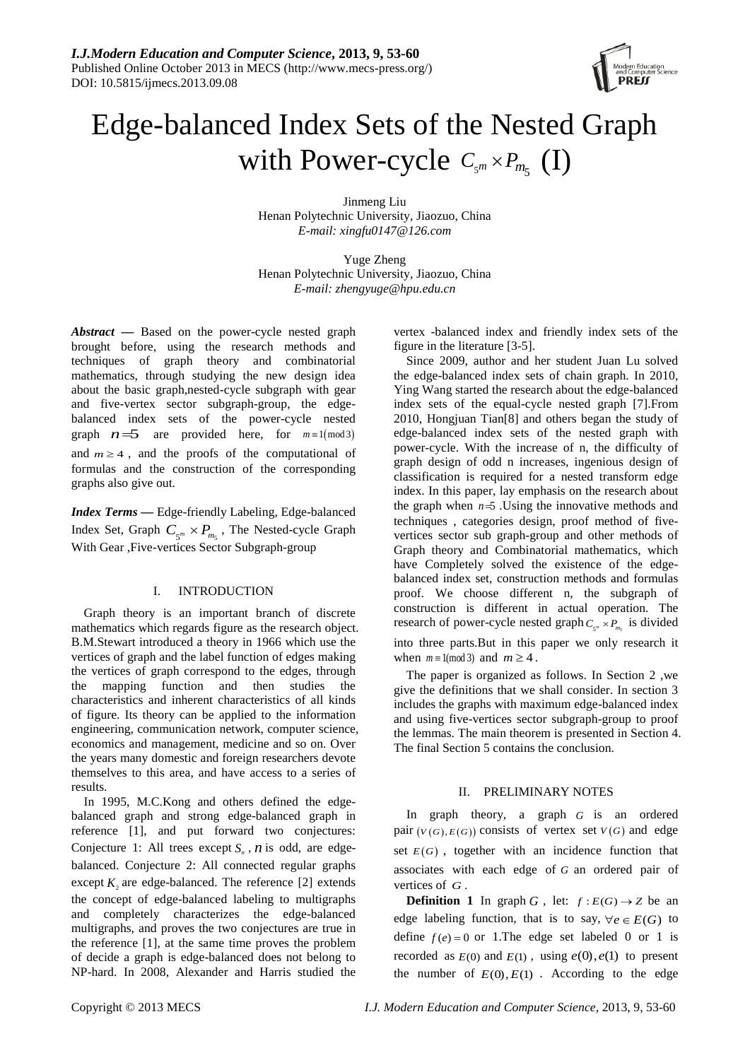

# Edge-balanced Index Sets of the Nested Graph with Power-cycle  $C_{s^m} \times P_{m_5}$  (I)

Jinmeng Liu Henan Polytechnic University, Jiaozuo, China *E-mail: xingfu0147@126.com*

Yuge Zheng Henan Polytechnic University, Jiaozuo, China *E-mail: zhengyuge@hpu.edu.cn*

*Abstract* **—** Based on the power-cycle nested graph brought before, using the research methods and techniques of graph theory and combinatorial mathematics, through studying the new design idea about the basic graph,nested-cycle subgraph with gear and five-vertex sector subgraph-group, the edgebalanced index sets of the power-cycle nested graph  $n=5$  are provided here, for  $m \equiv 1 \pmod{3}$ and  $m \geq 4$ , and the proofs of the computational of formulas and the construction of the corresponding graphs also give out.

*Index Terms* **—** Edge-friendly Labeling, Edge-balanced Index Set, Graph  $C_{\varsigma^m} \times P_{m_{\varsigma}}$ , The Nested-cycle Graph With Gear ,Five-vertices Sector Subgraph-group

# I. INTRODUCTION

Graph theory is an important branch of discrete mathematics which regards figure as the research object. B.M.Stewart introduced a theory in 1966 which use the vertices of graph and the label function of edges making the vertices of graph correspond to the edges, through the mapping function and then studies the characteristics and inherent characteristics of all kinds of figure. Its theory can be applied to the information engineering, communication network, computer science, economics and management, medicine and so on. Over the years many domestic and foreign researchers devote themselves to this area, and have access to a series of results.

In 1995, M.C.Kong and others defined the edgebalanced graph and strong edge-balanced graph in reference [1], and put forward two conjectures: Conjecture 1: All trees except  $S_n$ ,  $n$  is odd, are edgebalanced. Conjecture 2: All connected regular graphs except  $K$ , are edge-balanced. The reference [2] extends the concept of edge-balanced labeling to multigraphs and completely characterizes the edge-balanced multigraphs, and proves the two conjectures are true in the reference [1], at the same time proves the problem of decide a graph is edge-balanced does not belong to NP-hard. In 2008, Alexander and Harris studied the vertex -balanced index and friendly index sets of the figure in the literature [3-5].

Since 2009, author and her student Juan Lu solved the edge-balanced index sets of chain graph. In 2010, Ying Wang started the research about the edge-balanced index sets of the equal-cycle nested graph [7].From 2010, Hongjuan Tian[8] and others began the study of edge-balanced index sets of the nested graph with power-cycle. With the increase of n, the difficulty of graph design of odd n increases, ingenious design of classification is required for a nested transform edge index. In this paper, lay emphasis on the research about the graph when  $n=5$  . Using the innovative methods and techniques , categories design, proof method of fivevertices sector sub graph-group and other methods of Graph theory and Combinatorial mathematics, which have Completely solved the existence of the edgebalanced index set, construction methods and formulas proof. We choose different n, the subgraph of construction is different in actual operation. The research of power-cycle nested graph  $C_{\zeta_m} \times P_m$  is divided into three parts.But in this paper we only research it when  $m \equiv 1 \pmod{3}$  and  $m \geq 4$ .

The paper is organized as follows. In Section 2 ,we give the definitions that we shall consider. In section 3 includes the graphs with maximum edge-balanced index and using five-vertices sector subgraph-group to proof the lemmas. The main theorem is presented in Section 4. The final Section 5 contains the conclusion.

## II. PRELIMINARY NOTES

In graph theory, a graph *G* is an ordered pair  $(V(G), E(G))$  consists of vertex set  $V(G)$  and edge set  $E(G)$ , together with an incidence function that associates with each edge of *G* an ordered pair of vertices of *G* .

**Definition 1** In graph *G*, let:  $f : E(G) \rightarrow Z$  be an edge labeling function, that is to say,  $\forall e \in E(G)$  to define  $f(e) = 0$  or 1. The edge set labeled 0 or 1 is recorded as  $E(0)$  and  $E(1)$ , using  $e(0), e(1)$  to present the number of  $E(0), E(1)$ . According to the edge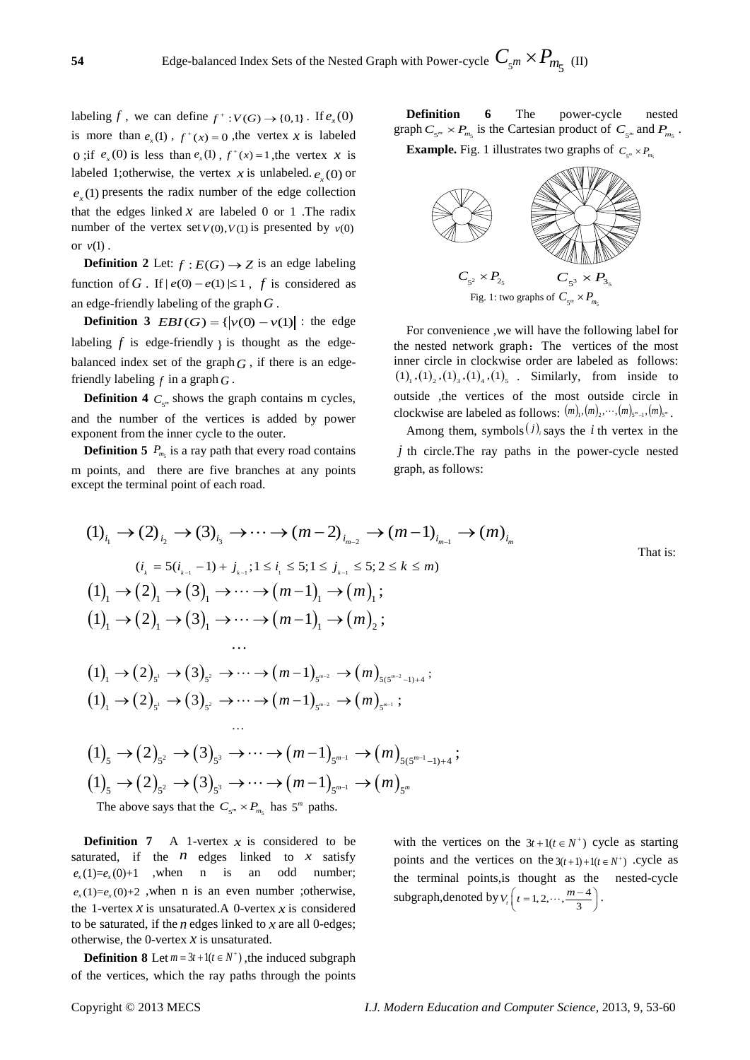labeling *f*, we can define  $f^+$ :  $V(G) \rightarrow \{0,1\}$ . If  $e_x(0)$ is more than  $e(x)$ ,  $f^+(x) = 0$ , the vertex x is labeled 0 ;if  $e_x(0)$  is less than  $e_x(1)$ ,  $f^+(x) = 1$ , the vertex x is labeled 1; otherwise, the vertex *x* is unlabeled.  $e_r(0)$  or  $e(x)$  presents the radix number of the edge collection that the edges linked  $x$  are labeled 0 or 1 .The radix number of the vertex set  $V(0)$ ,  $V(1)$  is presented by  $v(0)$ or  $v(1)$ .

**Definition 2** Let:  $f : E(G) \rightarrow Z$  is an edge labeling function of *G* . If  $|e(0) - e(1)| \le 1$ , *f* is considered as an edge-friendly labeling of the graph*G* .

**Definition 3**  $EBI(G) = { |v(0) - v(1)| : \text{ the edge} }$ labeling  $f$  is edge-friendly  $\chi$  is thought as the edgebalanced index set of the graph  $G$ , if there is an edgefriendly labeling  $f$  in a graph  $G$ .

**Definition 4**  $C_{\epsilon^m}$  shows the graph contains m cycles, and the number of the vertices is added by power exponent from the inner cycle to the outer.

**Definition 5**  $P_{m}$  is a ray path that every road contains m points, and there are five branches at any points except the terminal point of each road.

**Definition 6** The power-cycle nested graph  $C_{\varsigma^m} \times P_{m_{\varsigma}}$  is the Cartesian product of  $C_{\varsigma^m}$  and  $P_{m_{\varsigma}}$ .

**Example.** Fig. 1 illustrates two graphs of  $C_{\epsilon m} \times P_m$ .



For convenience ,we will have the following label for the nested network graph: The vertices of the most inner circle in clockwise order are labeled as follows:  $(1)$ <sub>1</sub>,  $(1)$ <sub>2</sub>,  $(1)$ <sub>3</sub>,  $(1)$ <sub>4</sub>,  $(1)$ <sub>5</sub>. Similarly, from inside to outside ,the vertices of the most outside circle in clockwise are labeled as follows:  $(m)_{1}, (m)_{2}, \cdots, (m)_{5^{m}-1}, (m)_{5^{m}}$ .

Among them, symbols $(j)$  says the *i* th vertex in the *j* th circle.The ray paths in the power-cycle nested graph, as follows:

That is:

$$
(1)_{i_1} \rightarrow (2)_{i_2} \rightarrow (3)_{i_3} \rightarrow \cdots \rightarrow (m-2)_{i_{m-2}} \rightarrow (m-1)_{i_{m-1}} \rightarrow (m)_{i_m}
$$
\n
$$
(i_k = 5(i_{k-1}-1) + j_{k-1}; 1 \le i_1 \le 5; 1 \le j_{k-1} \le 5; 2 \le k \le m)
$$
\n
$$
(1)_{1} \rightarrow (2)_{1} \rightarrow (3)_{1} \rightarrow \cdots \rightarrow (m-1)_{1} \rightarrow (m)_{1};
$$
\n
$$
(1)_{1} \rightarrow (2)_{1} \rightarrow (3)_{1} \rightarrow \cdots \rightarrow (m-1)_{1} \rightarrow (m)_{2};
$$
\n
$$
\cdots
$$
\n
$$
(1)_{1} \rightarrow (2)_{s'} \rightarrow (3)_{s^2} \rightarrow \cdots \rightarrow (m-1)_{s^{m-2}} \rightarrow (m)_{s(s^{m-2}-1)+4};
$$
\n
$$
(1)_{1} \rightarrow (2)_{s'} \rightarrow (3)_{s^2} \rightarrow \cdots \rightarrow (m-1)_{s^{m-2}} \rightarrow (m)_{s^{m-1}};
$$
\n
$$
\cdots
$$
\n
$$
(1)_{5} \rightarrow (2)_{5^2} \rightarrow (3)_{5^3} \rightarrow \cdots \rightarrow (m-1)_{s^{m-1}} \rightarrow (m)_{s(s^{m-1}-1)+4};
$$
\n
$$
(1)_{5} \rightarrow (2)_{5^2} \rightarrow (3)_{5^3} \rightarrow \cdots \rightarrow (m-1)_{s^{m-1}} \rightarrow (m)_{s(s^{m-1}-1)+4};
$$
\n
$$
(1)_{5} \rightarrow (2)_{5^2} \rightarrow (3)_{5^3} \rightarrow \cdots \rightarrow (m-1)_{s^{m-1}} \rightarrow (m)_{s^m}
$$

The above says that the  $C_{\varsigma_m} \times P_{m_{\varsigma}}$  has 5<sup>*m*</sup> paths.

**Definition 7** A 1-vertex  $x$  is considered to be saturated, if the  $n$  edges linked to  $x$  satisfy  $e_x(1)=e_x(0)+1$  , when n is an odd number;  $e_x(1)=e_x(0)+2$ , when n is an even number ;otherwise, the 1-vertex  $x$  is unsaturated. A 0-vertex  $x$  is considered to be saturated, if the *n* edges linked to *x* are all 0-edges; otherwise, the 0-vertex *x* is unsaturated.

**Definition 8** Let  $m = 3t + 1(t \in N^+)$ , the induced subgraph of the vertices, which the ray paths through the points

with the vertices on the  $3t + 1(t \in N^+)$  cycle as starting points and the vertices on the  $3(t+1) + 1(t \in N^+)$  .cycle as the terminal points,is thought as the nested-cycle subgraph,denoted by  $V_t\left(t = 1, 2, \cdots, \frac{m-4}{3}\right)$ .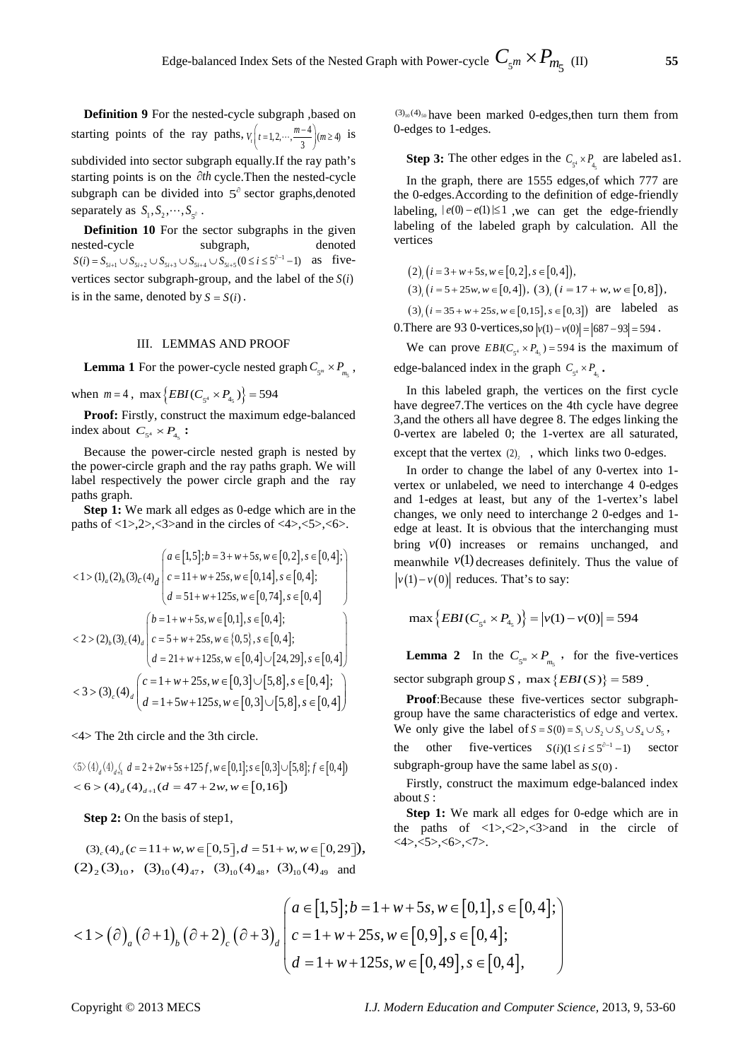**Definition 9** For the nested-cycle subgraph ,based on starting points of the ray paths,  $V_t\left(t=1,2,\cdots,\frac{m-4}{3}\right)(m\geq 4)$  is subdivided into sector subgraph equally.If the ray path's starting points is on the ∂*th* cycle.Then the nested-cycle subgraph can be divided into 5<sup>∂</sup> sector graphs,denoted separately as  $S_1, S_2, \dots, S_{s^{\partial}}$ .

**Definition 10** For the sector subgraphs in the given nested-cycle subgraph, denoted  $S(i) = S_{5i+1} \cup S_{5i+2} \cup S_{5i+3} \cup S_{5i+4} \cup S_{5i+5} (0 \le i \le 5<sup>∂-1</sup> -1)$  as fivevertices sector subgraph-group, and the label of the  $S(i)$ is in the same, denoted by  $S = S(i)$ .

#### III. LEMMAS AND PROOF

**Lemma 1** For the power-cycle nested graph  $C_{\xi^m} \times P_{\xi^m}$ ,

when  $m = 4$ ,  $\max \{EBI(C_{\epsilon^4} \times P_{4\epsilon})\} = 594$ 

**Proof:** Firstly, construct the maximum edge-balanced index about  $C_{5^4} \times P_{4_5}$ :

Because the power-circle nested graph is nested by the power-circle graph and the ray paths graph. We will label respectively the power circle graph and the ray paths graph.

**Step 1:** We mark all edges as 0-edge which are in the paths of  $\langle 1 \rangle$ ,  $\langle 2 \rangle$ ,  $\langle 3 \rangle$  and in the circles of  $\langle 4 \rangle$ ,  $\langle 5 \rangle$ ,  $\langle 6 \rangle$ .

$$
\langle 1 \rangle (1)_{a}(2)_{b}(3)_{c}(4)_{d} \begin{pmatrix} a \in [1,5]; b = 3+w+5s, w \in [0,2], s \in [0,4]; \\ c = 11+w+25s, w \in [0,14], s \in [0,4]; \\ d = 51+w+125s, w \in [0,74], s \in [0,4] \end{pmatrix}
$$
  

$$
\langle 2 \rangle (2)_{b}(3)_{c}(4)_{d} \begin{pmatrix} b = 1+w+5s, w \in [0,1], s \in [0,4]; \\ c = 5+w+25s, w \in [0,5], s \in [0,4]; \\ d = 21+w+125s, w \in [0,4] \cup [24,29], s \in [0,4] \end{pmatrix}
$$
  

$$
\langle 3 \rangle (3)_{c}(4)_{d} \begin{pmatrix} c = 1+w+25s, w \in [0,3] \cup [5,8], s \in [0,4]; \\ d = 1+5w+125s, w \in [0,3] \cup [5,8], s \in [0,4] \end{pmatrix}
$$

<4> The 2th circle and the 3th circle.

 $\langle 5 \rangle (4)$ <sub>d</sub> $(4)$ <sub>d</sub> $d = 2 + 2w + 5s + 125f$ ,  $w \in [0,1]$ ;  $s \in [0,3] \cup [5,8]$ ;  $f \in [0,4]$  $< 6$  >  $(4)$ <sub>d</sub>  $(4)$ <sub>d+1</sub>  $(d = 47 + 2w, w \in [0, 16])$ 

**Step 2:** On the basis of step1,

 $(3) (4) (c = 11 + w, w \in [0, 5], d = 51 + w, w \in [0, 29]),$  $(2)_{2}$  (3)<sub>10</sub>, (3)<sub>10</sub>(4)<sub>47</sub>, (3)<sub>10</sub>(4)<sub>48</sub>, (3)<sub>10</sub>(4)<sub>49</sub> and

 $(3)_{10}$ (4)<sub>50</sub> have been marked 0-edges, then turn them from 0-edges to 1-edges.

**Step 3:** The other edges in the  $C_{5^4} \times P_{4_5}$  are labeled as 1.

In the graph, there are 1555 edges,of which 777 are the 0-edges.According to the definition of edge-friendly labeling,  $|e(0) - e(1)| \le 1$ , we can get the edge-friendly labeling of the labeled graph by calculation. All the vertices

 $(2)$ ,  $(i = 3 + w + 5s, w \in [0,2], s \in [0,4]),$ 

 $(3)$ ,  $(i = 5 + 25w, w \in [0, 4])$ ,  $(3)$ ,  $(i = 17 + w, w \in [0, 8])$ ,

 $(3)$ ,  $(i = 35 + w + 25s, w \in [0, 15], s \in [0,3])$  are labeled as

0. There are 93 0-vertices,so  $|v(1)-v(0)| = |687 - 93| = 594$ .

We can prove  $EBIC_{s^4} \times P_{4s} = 594$  is the maximum of edge-balanced index in the graph  $C_{\epsilon^4} \times P_{\epsilon}$ .

In this labeled graph, the vertices on the first cycle have degree7.The vertices on the 4th cycle have degree 3,and the others all have degree 8. The edges linking the 0-vertex are labeled 0; the 1-vertex are all saturated,

except that the vertex  $(2)$ , which links two 0-edges.

In order to change the label of any 0-vertex into 1 vertex or unlabeled, we need to interchange 4 0-edges and 1-edges at least, but any of the 1-vertex's label changes, we only need to interchange 2 0-edges and 1 edge at least. It is obvious that the interchanging must bring *v*(0) increases or remains unchanged, and meanwhile  $v(1)$  decreases definitely. Thus the value of  $|v(1)-v(0)|$  reduces. That's to say:

$$
\max\left\{EBI(C_{5^4} \times P_{4_5})\right\} = \left|v(1) - v(0)\right| = 594
$$

**Lemma 2** In the  $C_{5^m} \times P_{m}$ , for the five-vertices sector subgraph group *S*, max  $\{EBI(S)\} = 589$ 

**Proof**:Because these five-vertices sector subgraphgroup have the same characteristics of edge and vertex. We only give the label of  $S = S(0) = S_1 \cup S_2 \cup S_3 \cup S_4 \cup S_5$ , the other five-vertices  $S(i)$  ( $1 \le i \le 5$ <sup> $\partial-1$ </sup> –1) sector subgraph-group have the same label as *S*(0) .

Firstly, construct the maximum edge-balanced index about *S* :

**Step 1:** We mark all edges for 0-edge which are in the paths of  $\langle 1 \rangle$ ,  $\langle 2 \rangle$ ,  $\langle 3 \rangle$  and in the circle of <4>,<5>,<6>,<7>.

$$
\langle 1 \rangle \left( \partial_{a} (\partial + 1)_{b} (\partial + 2)_{c} (\partial + 3)_{d} \middle| \begin{cases} a \in [1,5]; b = 1 + w + 5s, w \in [0,1], s \in [0,4]; \\ c = 1 + w + 25s, w \in [0,9], s \in [0,4]; \\ d = 1 + w + 125s, w \in [0,49], s \in [0,4], \end{cases} \right)
$$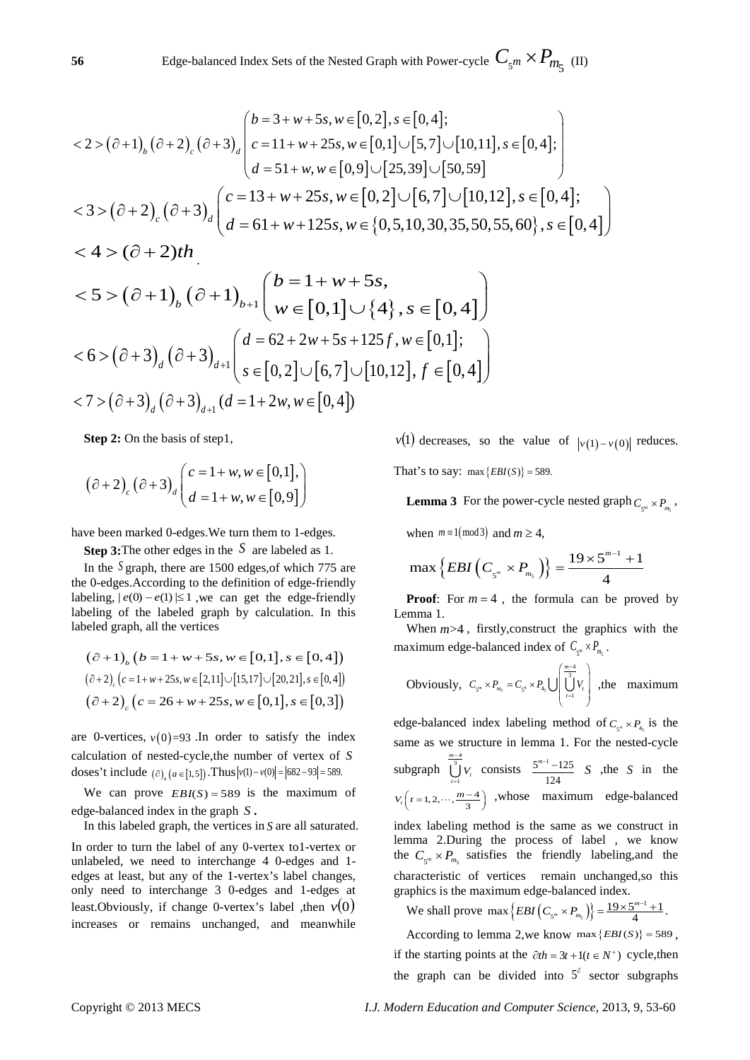$$
\langle 2 > (\partial + 1)_{b} (\partial + 2)_{c} (\partial + 3)_{d} \begin{pmatrix} b = 3 + w + 5s, w \in [0,2], s \in [0,4]; \\ c = 11 + w + 25s, w \in [0,1] \cup [5,7] \cup [10,11], s \in [0,4]; \\ d = 51 + w, w \in [0,9] \cup [25,39] \cup [50,59] \end{pmatrix}
$$
  

$$
\langle 3 > (\partial + 2)_{c} (\partial + 3)_{d} \begin{pmatrix} c = 13 + w + 25s, w \in [0,2] \cup [6,7] \cup [10,12], s \in [0,4]; \\ d = 61 + w + 125s, w \in \{0,5,10,30,35,50,55,60\}, s \in [0,4] \end{pmatrix}
$$
  

$$
< 4 > (\partial + 2)th
$$

$$
\langle 5 \rangle (\partial + 1)_{b} (\partial + 1)_{b+1} \begin{pmatrix} b = 1 + w + 5s, \\ w \in [0, 1] \cup \{4\}, s \in [0, 4] \end{pmatrix}
$$
  

$$
\langle 6 \rangle (\partial + 3)_{d} (\partial + 3)_{d+1} \begin{pmatrix} d = 62 + 2w + 5s + 125f, w \in [0, 1]; \\ s \in [0, 2] \cup [6, 7] \cup [10, 12], f \in [0, 4] \end{pmatrix}
$$
  

$$
\langle 7 \rangle (\partial + 3)_{d} (\partial + 3)_{d+1} (d = 1 + 2w, w \in [0, 4])
$$

**Step 2:** On the basis of step1,

$$
(\partial + 2)_{c} (\partial + 3)_{d} \begin{pmatrix} c = 1 + w, w \in [0, 1], \\ d = 1 + w, w \in [0, 9] \end{pmatrix}
$$

have been marked 0-edges.We turn them to 1-edges.

**Step 3:**The other edges in the *S* are labeled as 1.

In the *S* graph, there are 1500 edges,of which 775 are the 0-edges.According to the definition of edge-friendly labeling,  $|e(0) - e(1)| \le 1$ , we can get the edge-friendly labeling of the labeled graph by calculation. In this labeled graph, all the vertices

$$
(\partial + 1)_b (b = 1 + w + 5s, w \in [0, 1], s \in [0, 4])
$$
  

$$
(\partial + 2)_c (c = 1 + w + 25s, w \in [2, 11] \cup [15, 17] \cup [20, 21], s \in [0, 4])
$$
  

$$
(\partial + 2)_c (c = 26 + w + 25s, w \in [0, 1], s \in [0, 3])
$$

are 0-vertices,  $v(0) = 93$ . In order to satisfy the index calculation of nested-cycle,the number of vertex of *S* doses't include  $(\partial)$  ( $a \in [1,5]$ ) *a* Thus  $|v(1)-v(0)| = |682 - 93| = 589$ .

We can prove  $EBI(S) = 589$  is the maximum of edge-balanced index in the graph *S* **.**

In this labeled graph, the vertices in *S* are all saturated.

In order to turn the label of any 0-vertex to1-vertex or unlabeled, we need to interchange 4 0-edges and 1 edges at least, but any of the 1-vertex's label changes, only need to interchange 3 0-edges and 1-edges at least.Obviously, if change 0-vertex's label , then  $v(0)$ increases or remains unchanged, and meanwhile

*v*(1) decreases, so the value of  $|v(1)-v(0)|$  reduces. That's to say:  $max{EBI(S)} = 589$ .

**Lemma 3** For the power-cycle nested graph  $C_{\epsilon^m} \times P_m$ ,

when  $m \equiv 1 \pmod{3}$  and  $m \geq 4$ ,

$$
\max\left\{EBI\left(C_{s^m} \times P_{m_s}\right)\right\} = \frac{19 \times 5^{m-1} + 1}{4}
$$

**Proof:** For  $m = 4$ , the formula can be proved by Lemma 1.

When  $m>4$ , firstly, construct the graphics with the maximum edge-balanced index of  $C_{\zeta^m} \times P_{m_{\zeta}}$ .

Obviously, 
$$
C_{s^m} \times P_{m_s} = C_{s^4} \times P_{4s} \cup \left( \bigcup_{t=1}^{\frac{m-4}{3}} V_t \right)
$$
, the maximum

edge-balanced index labeling method of  $C_{\epsilon} \times P_4$  is the same as we structure in lemma 1. For the nested-cycle subgraph  $\frac{-4}{3}$ 1 *m*  $\bigcup_{i=1}$  *V*<sub>i</sub> −  $\bigcup_{i=1}^{3} V_i$  consists  $\frac{5^{m-1}-125}{124}$  *S* , the *S* in the  $V_t\left(t=1, 2, \cdots, \frac{m-4}{3}\right)$ , whose maximum edge-balanced index labeling method is the same as we construct in lemma 2.During the process of label , we know the  $C_{\zeta_m} \times P_{m_{\zeta}}$  satisfies the friendly labeling, and the characteristic of vertices remain unchanged,so this

graphics is the maximum edge-balanced index.

We shall prove  $\max \{EBI(C_{5^m} \times P_{m_5})\} = \frac{19 \times 5^{m-1} + 1}{4}$  $EBI(C_{5^m} \times P_{m_5}) = \frac{19 \times 5^{m-1} + 1}{4}.$ 

According to lemma 2,we know max  $\{EBI(S)\} = 589$ , if the starting points at the  $\partial th = 3t + 1(t \in N^+)$  cycle, then the graph can be divided into  $5^\circ$  sector subgraphs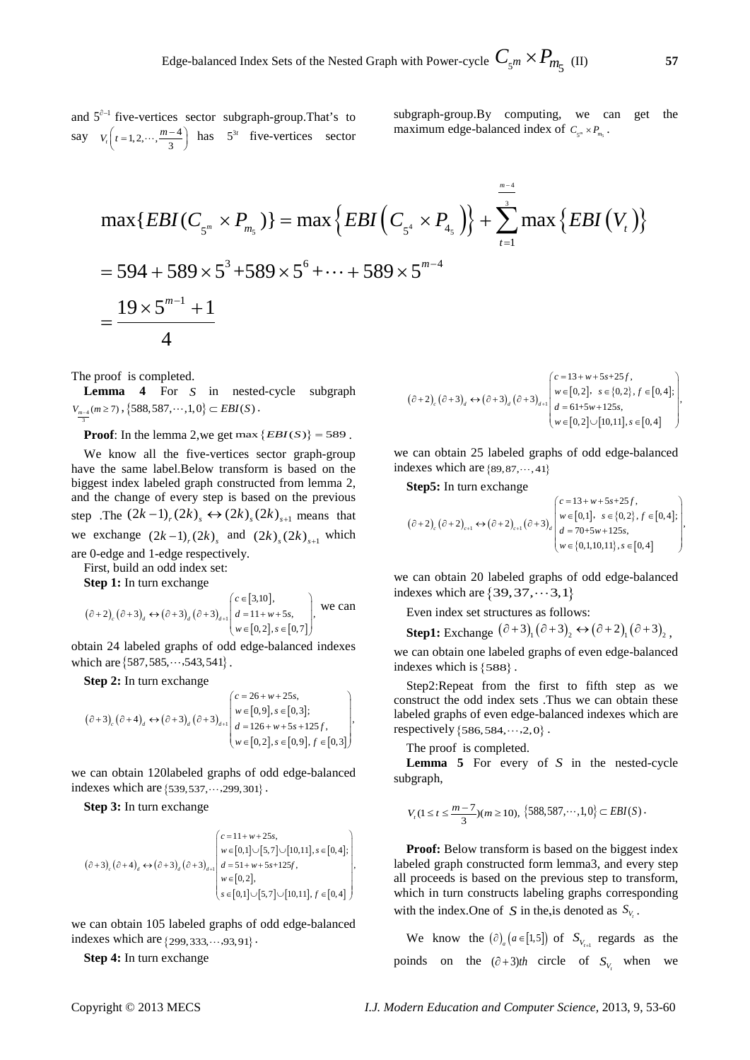and  $5^{\partial-1}$  five-vertices sector subgraph-group. That's to say  $V_t\left(t=1, 2, \cdots, \frac{m-4}{3}\right)$  has  $5^{3t}$  five-vertices sector subgraph-group.By computing, we can get the maximum edge-balanced index of  $C_{\zeta_m} \times P_{m_{\zeta}}$ .

$$
\max\{EBI(C_{5^m} \times P_{m_5})\} = \max\left\{EBI(C_{5^4} \times P_{45^})\right\} + \sum_{t=1}^{\frac{m-4}{3}} \max\left\{EBI(V_t)\right\}
$$
  
= 594 + 589 × 5<sup>3</sup> + 589 × 5<sup>6</sup> + ... + 589 × 5<sup>m-4</sup>  
= 
$$
\frac{19 \times 5^{m-1} + 1}{4}
$$

The proof is completed.

3

**Lemma 4** For *S* in nested-cycle subgraph  $V_{m-4}(m≥7)$ , {588, 587,…, 1, 0} ⊂ *EBI*(*S*).

**Proof:** In the lemma 2,we get max  $\{EBI(S)\} = 589$ .

We know all the five-vertices sector graph-group have the same label.Below transform is based on the biggest index labeled graph constructed from lemma 2, and the change of every step is based on the previous step .The  $(2k-1)$ <sub>r</sub> $(2k)$ <sub>s</sub>  $\leftrightarrow$   $(2k)$ <sub>s</sub> $(2k)$ <sub>s+1</sub> means that we exchange  $(2k - 1)_{r}(2k)_{s}$  and  $(2k)_{s}(2k)_{s+1}$  which are 0-edge and 1-edge respectively.

First, build an odd index set:

**Step 1:** In turn exchange

$$
(\partial+2)_{c}(\partial+3)_{d} \leftrightarrow (\partial+3)_{d}(\partial+3)_{d+1} \begin{pmatrix} c \in [3,10], \\ d=11+w+5s, \\ w \in [0,2], s \in [0,7] \end{pmatrix}, \text{ we can}
$$

obtain 24 labeled graphs of odd edge-balanced indexes which are  $\{587,585, \dots, 543,541\}$ .

**Step 2:** In turn exchange

$$
(\partial+3)_{c} (\partial+4)_{d} \leftrightarrow (\partial+3)_{d} (\partial+3)_{d+1} \begin{pmatrix} c=26+w+25s, \\ w \in [0,9], s \in [0,3]; \\ d=126+w+5s+125f, \\ w \in [0,2], s \in [0,9], f \in [0,3] \end{pmatrix},
$$

we can obtain 120labeled graphs of odd edge-balanced indexes which are  $\{539, 537, \dots, 299, 301\}$ .

**Step 3:** In turn exchange

$$
\left(\hat{\sigma}+3\right)_{c}\left(\hat{\sigma}+4\right)_{d} \leftrightarrow \left(\hat{\sigma}+3\right)_{d}\left(\hat{\sigma}+3\right)_{d+1} \left(\hat{\sigma}+3\right)_{d+1} \\ \times \left[\begin{matrix} c=11+w+25s,\\ w \in [0,1]\cup[5,7]\cup[10,11], s \in [0,4];\\ d=51+w+5s+125f,\\ w \in [0,2],\\ s \in [0,1]\cup[5,7]\cup[10,11], f \in [0,4] \end{matrix}\right],
$$

we can obtain 105 labeled graphs of odd edge-balanced indexes which are  $\{299,333, \cdots, 93,91\}$ .

**Step 4:** In turn exchange

$$
(\partial + 2)_{c} (\partial + 3)_{d} \leftrightarrow (\partial + 3)_{d} (\partial + 3)_{d+1} \begin{pmatrix} c = 13 + w + 5s + 25f, \\ w \in [0,2], & s \in \{0,2\}, f \in [0,4]; \\ d = 61 + 5w + 125s, \\ w \in [0,2] \cup [10,11], s \in [0,4] \end{pmatrix}.
$$

we can obtain 25 labeled graphs of odd edge-balanced indexes which are  $\{89, 87, \dots, 41\}$ 

**Step5:** In turn exchange

$$
(\partial+2)_{c}(\partial+2)_{c+1} \leftrightarrow (\partial+2)_{c+1}(\partial+3)_{d} \begin{pmatrix} c=13+w+5s+25f, \\ w \in [0,1], & s \in \{0,2\}, f \in [0,4]; \\ d=70+5w+125s, \\ w \in \{0,1,10,11\}, s \in [0,4] \end{pmatrix}.
$$

we can obtain 20 labeled graphs of odd edge-balanced indexes which are  $\{39,37, \dots, 3,1\}$ 

Even index set structures as follows:

**Step1:** Exchange  $(\partial + 3)$ <sub>1</sub> $(\partial + 3)$ <sub>2</sub>  $\leftrightarrow (\partial + 2)$ <sub>1</sub> $(\partial + 3)$ <sub>2</sub>.

we can obtain one labeled graphs of even edge-balanced indexes which is {588} .

Step2:Repeat from the first to fifth step as we construct the odd index sets .Thus we can obtain these labeled graphs of even edge-balanced indexes which are respectively  ${586,584, \dots, 2,0}$ .

The proof is completed.

**Lemma 5** For every of *S* in the nested-cycle subgraph,

$$
V_{i}(1 \leq t \leq \frac{m-7}{3})(m \geq 10), \ \left\{588,587,\cdots,1,0\right\} \subset EBI(S).
$$

**Proof:** Below transform is based on the biggest index labeled graph constructed form lemma3, and every step all proceeds is based on the previous step to transform, which in turn constructs labeling graphs corresponding with the index. One of *S* in the, is denoted as  $S_{V_t}$ .

We know the  $(\partial)$ <sub>*a*</sub>  $(a \in [1,5])$  of  $S$ <sub>*V<sub>t+1</sub>*</sup> regards as the</sub> poinds on the  $(\partial + 3)th$  circle of  $S_{V_t}$  when we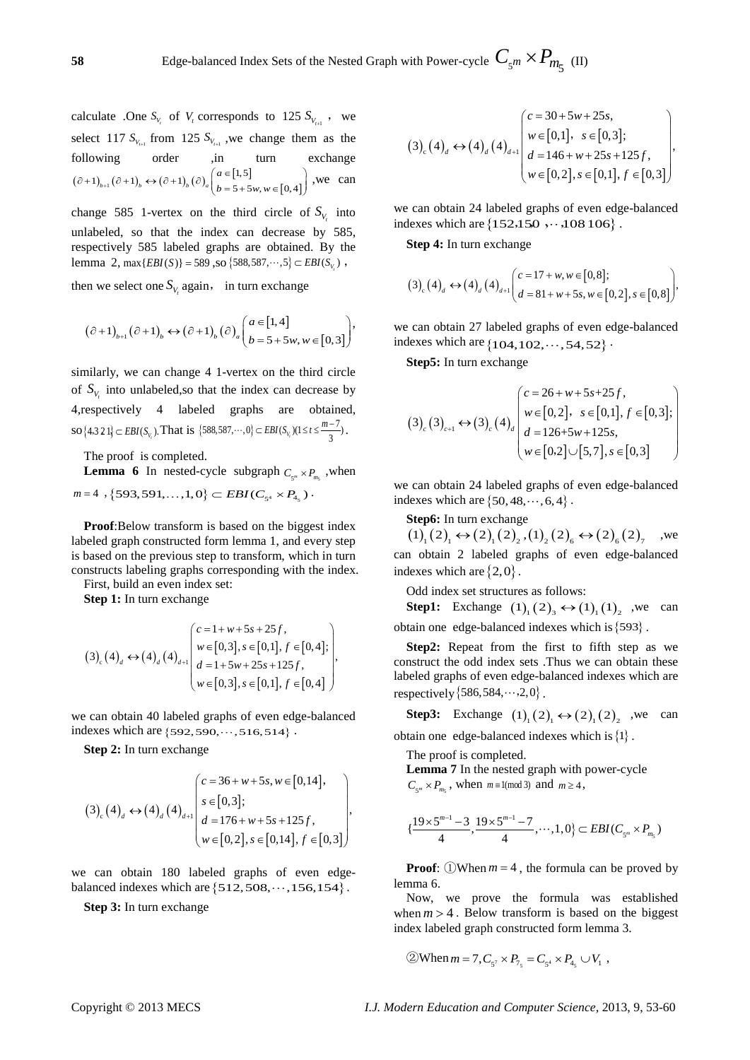**58** Edge-balanced Index Sets of the Nested Graph with Power-cycle  $C_{\zeta^m} \times P_{m_{\zeta}^2}$  (II)

calculate .One  $S_{V_t}$  of  $V_t$  corresponds to 125  $S_{V_{t-1}}$ , we select 117  $S_{V_{t+1}}$  from 125  $S_{V_{t+1}}$ , we change them as the following order ,in turn exchange  $(\partial +1)_{b+1} (\partial +1)_{b} \leftrightarrow (\partial +1)_{b} (\partial)_{a} \begin{cases} a \in [1,5] \\ b = 5 + 5w, w \in [0,4] \end{cases}$ 1)<sub>b+1</sub>  $(\hat{c} + 1)$ <sub>b</sub>  $\leftrightarrow$   $(\hat{c} + 1)$ <sub>b</sub>  $(\hat{c})$ <sub>a</sub> $\begin{cases} a \in [1, 5] \\ b = 5 + 5w, w \in [0, 4] \end{cases}$ *a*  $(\partial + 1)_{b+1} (\partial + 1)_{b} \leftrightarrow (\partial + 1)_{b} (\partial)_{a} \left( \begin{array}{l} a \in [1, 5] \\ b = 5 + 5w, w \in [0, 4] \end{array} \right)$ , we can

change 585 1-vertex on the third circle of  $S_V$  into unlabeled, so that the index can decrease by 585, respectively 585 labeled graphs are obtained. By the lemma 2, max $\{EBI(S)\} = 589$ , so  $\{588, 587, \dots, 5\} \subset EBI(S_V)$ ,

then we select one  $S_{V}$  again, in turn exchange

$$
(\partial+1)_{b+1}(\partial+1)_{b} \leftrightarrow (\partial+1)_{b}(\partial)_{a} \begin{pmatrix} a \in [1,4] \\ b=5+5w, w \in [0,3] \end{pmatrix},
$$

similarly, we can change 4 1-vertex on the third circle of  $S_V$  into unlabeled, so that the index can decrease by 4,respectively 4 labeled graphs are obtained,  $\text{SO}\left\{4,3\ 2\ 1\right\} \subset EBI(S_{V_i})$ . That is  $\left\{588,587,\cdots,0\right\} \subset EBI(S_{V_i})(1 \leq t \leq \frac{m-7}{3})$ .

The proof is completed.

**Lemma 6** In nested-cycle subgraph  $C_{\zeta m} \times P_m$ , when  $m=4$ , {593,591,...,1,0}  $\subset EBI(C_{5^4} \times P_{4_5})$ .

**Proof**:Below transform is based on the biggest index labeled graph constructed form lemma 1, and every step is based on the previous step to transform, which in turn constructs labeling graphs corresponding with the index.

First, build an even index set:

**Step 1:** In turn exchange

$$
(3)_{c}(4)_{d} \leftrightarrow (4)_{d}(4)_{d+1} \begin{pmatrix} c=1+w+5s+25f, \\ w \in [0,3], s \in [0,1], f \in [0,4]; \\ d=1+5w+25s+125f, \\ w \in [0,3], s \in [0,1], f \in [0,4] \end{pmatrix},
$$

we can obtain 40 labeled graphs of even edge-balanced indexes which are  $\{592,590, \dots, 516,514\}$ .

**Step 2:** In turn exchange

$$
(3)_{c}(4)_{d} \leftrightarrow (4)_{d}(4)_{d+1} \begin{pmatrix} c = 36 + w + 5s, w \in [0,14], \\ s \in [0,3]; \\ d = 176 + w + 5s + 125f, \\ w \in [0,2], s \in [0,14], f \in [0,3] \end{pmatrix},
$$

we can obtain 180 labeled graphs of even edgebalanced indexes which are  $\{512,508, \cdots, 156, 154\}$ .

**Step 3:** In turn exchange

$$
(3)_{c}(4)_{d} \leftrightarrow (4)_{d}(4)_{d+1} \begin{pmatrix} c = 30+5w+25s, \\ w \in [0,1], & s \in [0,3]; \\ d = 146+w+25s+125f, \\ w \in [0,2], s \in [0,1], f \in [0,3] \end{pmatrix},
$$

we can obtain 24 labeled graphs of even edge-balanced indexes which are  $\{152, 150, \dots, 108, 106\}$ .

**Step 4:** In turn exchange

$$
(3)_{c}(4)_{d} \leftrightarrow (4)_{d}(4)_{d+1} \left( \begin{matrix} c = 17 + w, w \in [0,8]; \\ d = 81 + w + 5s, w \in [0,2], s \in [0,8] \end{matrix} \right),
$$

we can obtain 27 labeled graphs of even edge-balanced indexes which are  $\{104, 102, \dots, 54, 52\}$ .

**Step5:** In turn exchange

$$
(3)_{c}(3)_{c+1} \leftrightarrow (3)_{c}(4)_{d} \begin{pmatrix} c = 26 + w + 5s + 25f, \\ w \in [0,2], & s \in [0,1], f \in [0,3]; \\ d = 126 + 5w + 125s, \\ w \in [0,2] \cup [5,7], s \in [0,3] \end{pmatrix}
$$

we can obtain 24 labeled graphs of even edge-balanced indexes which are  $\{50, 48, \dots, 6, 4\}$ .

**Step6:** In turn exchange

 $(1)$ <sub>1</sub> $(2)$ <sub>1</sub> $\leftrightarrow$  $(2)$ <sub>1</sub> $(2)$ <sub>2</sub>, $(1)$ <sub>2</sub> $(2)$ <sub>6</sub> $\leftrightarrow$  $(2)$ <sub>6</sub> $(2)$ <sub>7</sub> we can obtain 2 labeled graphs of even edge-balanced indexes which are  $\{2,0\}$ .

Odd index set structures as follows:

**Step1:** Exchange  $(1)$ <sub>1</sub> $(2)$ <sub>3</sub> $\leftrightarrow$  $(1)$ <sub>1</sub> $(1)$ <sub>2</sub>, we can obtain one edge-balanced indexes which is{593} .

**Step2:** Repeat from the first to fifth step as we construct the odd index sets .Thus we can obtain these labeled graphs of even edge-balanced indexes which are respectively  $\{586, 584, \dots, 2, 0\}$ .

**Step3:** Exchange  $(1)$ <sub>1</sub> $(2)$ <sub>1</sub> $\leftrightarrow$  $(2)$ <sub>1</sub> $(2)$ <sub>2</sub>, we can obtain one edge-balanced indexes which is{1} .

The proof is completed.

**Lemma 7** In the nested graph with power-cycle  $C_{5^m} \times P_{m_5}$ , when  $m \equiv 1 \pmod{3}$  and  $m \ge 4$ ,

$$
\{\frac{19\times5^{m-1}-3}{4},\frac{19\times5^{m-1}-7}{4},\cdots,1,0\}\subset EBI(C_{5^m}\times P_{m_5})
$$

**Proof**:  $(1)$ When  $m = 4$ , the formula can be proved by lemma 6.

Now, we prove the formula was established when  $m > 4$ . Below transform is based on the biggest index labeled graph constructed form lemma 3.

$$
\textcircled{2} \text{When } m = 7, C_{5^7} \times P_{7_5} = C_{5^4} \times P_{4_5} \cup V_1 ,
$$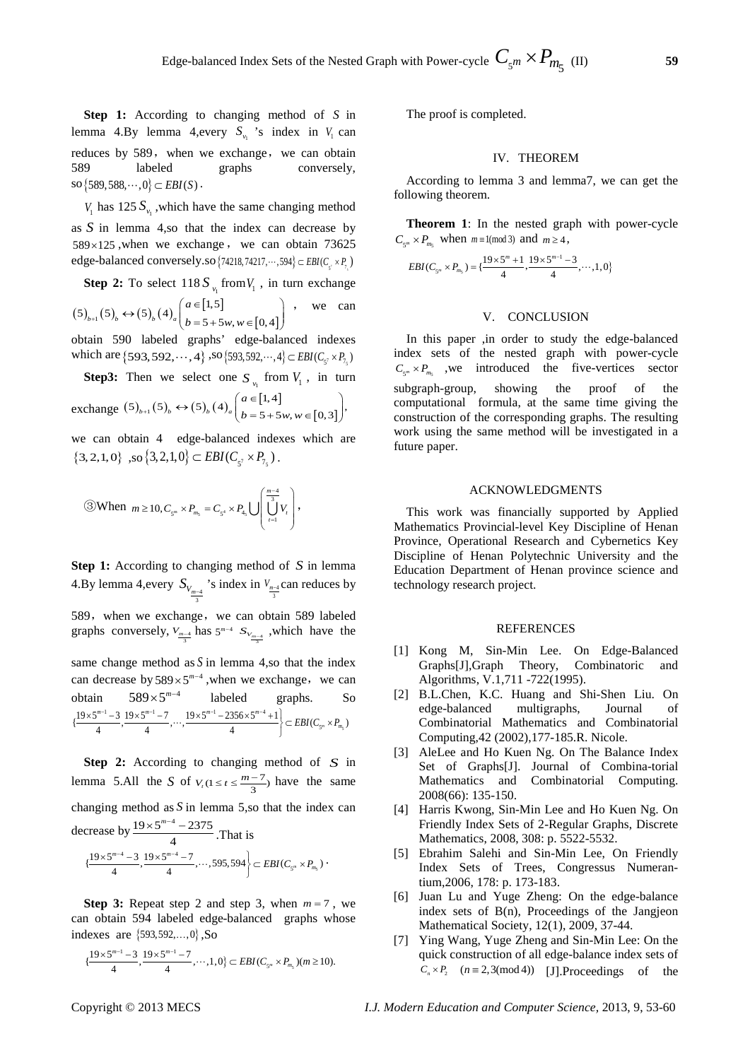**Step 1:** According to changing method of *S* in lemma 4.By lemma 4,every  $S_{y}$  's index in  $V_1$  can reduces by 589, when we exchange, we can obtain 589 labeled graphs conversely,  $\text{so} \{589, 588, \cdots, 0\} \subset EBI(S)$ .

*V*<sub>1</sub> has 125  $S_{\nu_1}$ , which have the same changing method as *S* in lemma 4,so that the index can decrease by  $589 \times 125$ , when we exchange, we can obtain 73625 edge-balanced conversely.so {74218,74217,…,594} ∈ *EBI* (C<sub>5</sub>, × P<sub>7</sub>)

**Step 2:** To select 
$$
118 S_{v_1}
$$
 from  $V_1$ , in turn exchange  
\n $(5)_{b+1}(5)_{b} \leftrightarrow (5)_{b}(4)_{a} \begin{pmatrix} a \in [1,5] \\ b=5+5w, w \in [0,4] \end{pmatrix}$ , we can

obtain 590 labeled graphs' edge-balanced indexes which are {593,592,  $\dots$ , 4} ,so {593,592, $\dots$ , 4}  $\subset EBI(C_{\varsigma^7} \times P_{7,\varsigma})$ 

**Step3:** Then we select one  $S_{v_1}$  from  $V_1$ , in turn exchange  $(5)_{b+1}(5)_{b} \leftrightarrow (5)_{b}(4)_{a} \begin{pmatrix} a \in [1,4] \\ b = 5+5w, w \in [0,3] \end{pmatrix}$  $(5)_{{}_{b+1}}(5)_{{}_{b}} \leftrightarrow (5)_{{}_{b}}(4)_{{}_{a}}\left(\begin{matrix} a \in [1,4] \\ b=5+5w, w \in [0,3] \end{matrix}\right),$  $A_{+1}(5)_b \leftrightarrow (5)_b (4)_a \begin{pmatrix} a \in [1,4] \\ b = 5+5w, w \in [0,3] \end{pmatrix}$  $(b=5+5w, w \in [0,3])$ 

we can obtain 4 edge-balanced indexes which are  $\{3, 2, 1, 0\}$ , so  $\{3, 2, 1, 0\} \subset EBI(C_{5} \times P_{7})$ .

(3) When 
$$
m \ge 10
$$
,  $C_{s^m} \times P_{m_s} = C_{s^4} \times P_{4s} \cup \left( \bigcup_{t=1}^{\frac{m-4}{3}} V_t \right)$ ,

**Step 1:** According to changing method of *S* in lemma 4.By lemma 4,every  $S_{V_{\frac{m-4}{3}}}$ 's index in  $V_{\frac{m-4}{3}}$ can reduces by 3 589, when we exchange, we can obtain 589 labeled graphs conversely,  $V_{\frac{m-4}{3}}$  has  $5^{m-4}$  *S* $V_{\frac{m-4}{3}}$ , which have the

same change method as  $S$  in lemma 4,so that the index can decrease by  $589 \times 5^{m-4}$ , when we exchange, we can obtain  $589 \times 5^{m-4}$  labeled graphs. So 5  $1$  2 10  $5^{m-1}$  7 10  $5^{m-1}$  2256  $5^{m-4}$  $\left\{\frac{19\times5^{m-1}-3}{4}, \frac{19\times5^{m-1}-7}{4}, \cdots, \frac{19\times5^{m-1}-2356\times5^{m-4}+1}{4}\right\} \subset EBI(C_{S^m}\times P_{m_S})$  $\ldots$ 

**Step 2:** According to changing method of *S* in lemma 5.All the *S* of  $V_t$  (1 ≤  $t \leq \frac{m-7}{3}$ ) have the same changing method as *S* in lemma 5,so that the index can decrease by  $\frac{19 \times 5^{m-4} - 2375}{4}$  $\frac{1}{4}$  × 5<sup>m−4</sup> − 2375 .That is

$$
\left\{\frac{19\times5^{m-4}-3}{4}, \frac{19\times5^{m-4}-7}{4}, \cdots, 595, 594\right\}\subset EBI(C_{s^m}\times P_{m_s})
$$

**Step 3:** Repeat step 2 and step 3, when  $m = 7$ , we can obtain 594 labeled edge-balanced graphs whose indexes are  $\{593, 592, ..., 0\}$ , So

$$
\{\frac{19\times 5^{m-1}-3}{4}, \frac{19\times 5^{m-1}-7}{4}, \cdots, 1, 0\} \subset EBI(C_{5^m}\times P_{m_5})(m\geq 10).
$$

The proof is completed.

## IV. THEOREM

According to lemma 3 and lemma7, we can get the following theorem.

**Theorem 1**: In the nested graph with power-cycle  $C_{\varsigma^m} \times P_{m\varsigma}$  when  $m \equiv 1 \pmod{3}$  and  $m \geq 4$ ,

$$
EBI(C_{5^m} \times P_{m_5}) = {\frac{19 \times 5^m + 1}{4}, \frac{19 \times 5^{m-1} - 3}{4}, \cdots, 1, 0}
$$

## V. CONCLUSION

In this paper ,in order to study the edge-balanced index sets of the nested graph with power-cycle  $C_{\varsigma^m} \times P_{m}$ , we introduced the five-vertices sector subgraph-group, showing the proof of the computational formula, at the same time giving the construction of the corresponding graphs. The resulting work using the same method will be investigated in a future paper.

#### ACKNOWLEDGMENTS

This work was financially supported by Applied Mathematics Provincial-level Key Discipline of Henan Province, Operational Research and Cybernetics Key Discipline of Henan Polytechnic University and the Education Department of Henan province science and technology research project.

#### REFERENCES

- [1] Kong M, Sin-Min Lee. On Edge-Balanced Graphs[J],Graph Theory, Combinatoric and Algorithms, V.1,711 -722(1995).
- [2] B.L.Chen, K.C. Huang and Shi-Shen Liu. On edge-balanced multigraphs, Journal of Combinatorial Mathematics and Combinatorial Computing,42 (2002),177-185.R. Nicole.
- [3] AleLee and Ho Kuen Ng. On The Balance Index Set of Graphs[J]. Journal of Combina-torial Mathematics and Combinatorial Computing. 2008(66): 135-150.
- [4] Harris Kwong, Sin-Min Lee and Ho Kuen Ng. On Friendly Index Sets of 2-Regular Graphs, Discrete Mathematics, 2008, 308: p. 5522-5532.
- [5] Ebrahim Salehi and Sin-Min Lee, On Friendly Index Sets of Trees, Congressus Numerantium,2006, 178: p. 173-183.
- [6] Juan Lu and Yuge Zheng: On the edge-balance index sets of B(n), Proceedings of the Jangjeon Mathematical Society, 12(1), 2009, 37-44.
- [7] Ying Wang, Yuge Zheng and Sin-Min Lee: On the quick construction of all edge-balance index sets of  $C_n \times P_2$   $(n \equiv 2,3 \pmod{4})$  [J].Proceedings of the